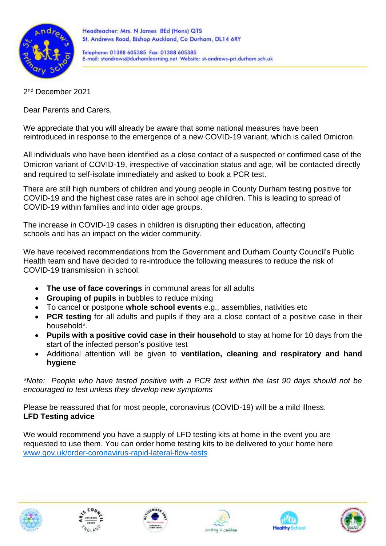

Telephone: 01388 605385 Fax: 01388 605385 E-mail: standrews@durhamlearning.net Website: st-andrews-pri.durham.sch.uk

2<sup>nd</sup> December 2021

Dear Parents and Carers,

We appreciate that you will already be aware that some national measures have been reintroduced in response to the emergence of a new COVID-19 variant, which is called Omicron.

All individuals who have been identified as a close contact of a suspected or confirmed case of the Omicron variant of COVID-19, irrespective of vaccination status and age, will be contacted directly and required to self-isolate immediately and asked to book a PCR test.

There are still high numbers of children and young people in County Durham testing positive for COVID-19 and the highest case rates are in school age children. This is leading to spread of COVID-19 within families and into older age groups.

The increase in COVID-19 cases in children is disrupting their education, affecting schools and has an impact on the wider community.

We have received recommendations from the Government and Durham County Council's Public Health team and have decided to re-introduce the following measures to reduce the risk of COVID-19 transmission in school:

- **The use of face coverings** in communal areas for all adults
- **Grouping of pupils** in bubbles to reduce mixing
- To cancel or postpone **whole school events** e.g., assemblies, nativities etc
- **PCR testing** for all adults and pupils if they are a close contact of a positive case in their household\*.
- **Pupils with a positive covid case in their household** to stay at home for 10 days from the start of the infected person's positive test
- Additional attention will be given to **ventilation, cleaning and respiratory and hand hygiene**

*\*Note: People who have tested positive with a PCR test within the last 90 days should not be encouraged to test unless they develop new symptoms*

Please be reassured that for most people, coronavirus (COVID-19) will be a mild illness. **LFD Testing advice** 

We would recommend you have a supply of LFD testing kits at home in the event you are requested to use them. You can order home testing kits to be delivered to your home here [www.gov.uk/order-coronavirus-rapid-lateral-flow-tests](http://www.gov.uk/order-coronavirus-rapid-lateral-flow-tests)